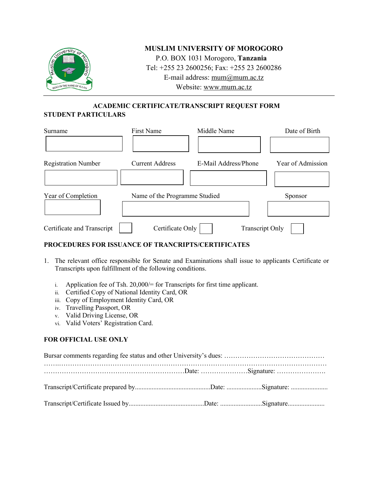

## **MUSLIM UNIVERSITY OF MOROGORO**

P.O. BOX 1031 Morogoro, **Tanzania** Tel: +255 23 2600256; Fax: +255 23 2600286 E-mail address: mum@mum.ac.tz Website: www.mum.ac.tz

# **ACADEMIC CERTIFICATE/TRANSCRIPT REQUEST FORM**

## **STUDENT PARTICULARS**

| Surname                    | <b>First Name</b>             | Middle Name            | Date of Birth     |
|----------------------------|-------------------------------|------------------------|-------------------|
|                            |                               |                        |                   |
| <b>Registration Number</b> | <b>Current Address</b>        | E-Mail Address/Phone   | Year of Admission |
|                            |                               |                        |                   |
| Year of Completion         | Name of the Programme Studied |                        | Sponsor           |
|                            |                               |                        |                   |
| Certificate and Transcript | Certificate Only              | <b>Transcript Only</b> |                   |

## **PROCEDURES FOR ISSUANCE OF TRANCRIPTS/CERTIFICATES**

- 1. The relevant office responsible for Senate and Examinations shall issue to applicants Certificate or Transcripts upon fulfillment of the following conditions.
	- i. Application fee of Tsh. 20,000/= for Transcripts for first time applicant.
	- ii. Certified Copy of National Identity Card, OR
	- iii. Copy of Employment Identity Card, OR
	- iv. Travelling Passport, OR
	- v. Valid Driving License, OR
	- vi. Valid Voters' Registration Card.

## **FOR OFFICIAL USE ONLY**